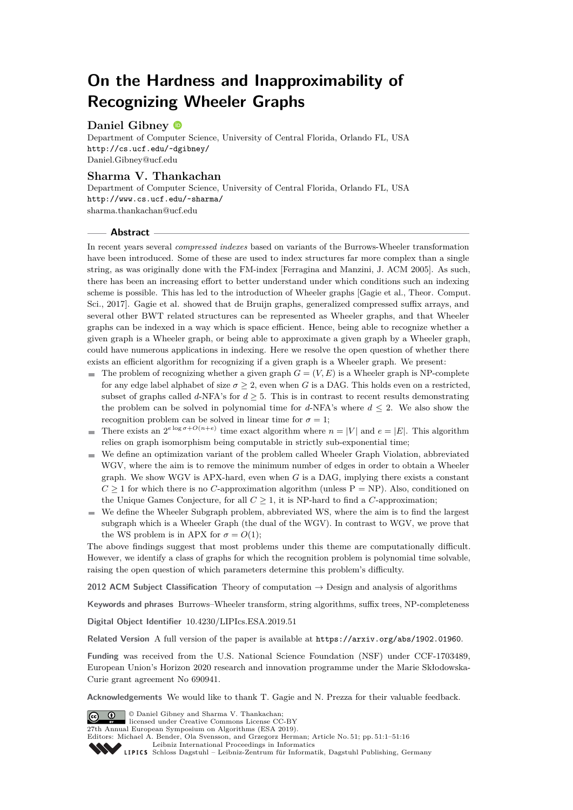# **On the Hardness and Inapproximability of Recognizing Wheeler Graphs**

# **Daniel Gibney**

Department of Computer Science, University of Central Florida, Orlando FL, USA <http://cs.ucf.edu/~dgibney/> [Daniel.Gibney@ucf.edu](mailto:Daniel.Gibney@ucf.edu)

# **Sharma V. Thankachan**

Department of Computer Science, University of Central Florida, Orlando FL, USA <http://www.cs.ucf.edu/~sharma/> [sharma.thankachan@ucf.edu](mailto:sharma.thankachan@ucf.edu)

### **Abstract**

In recent years several *compressed indexes* based on variants of the Burrows-Wheeler transformation have been introduced. Some of these are used to index structures far more complex than a single string, as was originally done with the FM-index [Ferragina and Manzini, J. ACM 2005]. As such, there has been an increasing effort to better understand under which conditions such an indexing scheme is possible. This has led to the introduction of Wheeler graphs [Gagie et al., Theor. Comput. Sci., 2017]. Gagie et al. showed that de Bruijn graphs, generalized compressed suffix arrays, and several other BWT related structures can be represented as Wheeler graphs, and that Wheeler graphs can be indexed in a way which is space efficient. Hence, being able to recognize whether a given graph is a Wheeler graph, or being able to approximate a given graph by a Wheeler graph, could have numerous applications in indexing. Here we resolve the open question of whether there exists an efficient algorithm for recognizing if a given graph is a Wheeler graph. We present:

- $\blacksquare$  The problem of recognizing whether a given graph  $G = (V, E)$  is a Wheeler graph is NP-complete for any edge label alphabet of size  $\sigma \geq 2$ , even when *G* is a DAG. This holds even on a restricted, subset of graphs called *d*-NFA's for  $d \geq 5$ . This is in contrast to recent results demonstrating the problem can be solved in polynomial time for *d*-NFA's where  $d \leq 2$ . We also show the recognition problem can be solved in linear time for  $\sigma = 1$ ;
- There exists an  $2^{e \log \sigma + O(n+e)}$  time exact algorithm where  $n = |V|$  and  $e = |E|$ . This algorithm  $\blacksquare$ relies on graph isomorphism being computable in strictly sub-exponential time;
- We define an optimization variant of the problem called Wheeler Graph Violation, abbreviated WGV, where the aim is to remove the minimum number of edges in order to obtain a Wheeler graph. We show WGV is APX-hard, even when *G* is a DAG, implying there exists a constant  $C \geq 1$  for which there is no *C*-approximation algorithm (unless  $P = NP$ ). Also, conditioned on the Unique Games Conjecture, for all  $C \geq 1$ , it is NP-hard to find a *C*-approximation;
- We define the Wheeler Subgraph problem, abbreviated WS, where the aim is to find the largest subgraph which is a Wheeler Graph (the dual of the WGV). In contrast to WGV, we prove that the WS problem is in APX for  $\sigma = O(1)$ ;

The above findings suggest that most problems under this theme are computationally difficult. However, we identify a class of graphs for which the recognition problem is polynomial time solvable, raising the open question of which parameters determine this problem's difficulty.

**2012 ACM Subject Classification** Theory of computation → Design and analysis of algorithms

**Keywords and phrases** Burrows–Wheeler transform, string algorithms, suffix trees, NP-completeness

**Digital Object Identifier** [10.4230/LIPIcs.ESA.2019.51](https://doi.org/10.4230/LIPIcs.ESA.2019.51)

**Related Version** A full version of the paper is available at <https://arxiv.org/abs/1902.01960>.

**Funding** was received from the U.S. National Science Foundation (NSF) under CCF-1703489, European Union's Horizon 2020 research and innovation programme under the Marie Skłodowska-Curie grant agreement No 690941.

**Acknowledgements** We would like to thank T. Gagie and N. Prezza for their valuable feedback.

 $\circ$   $\circ$ 

© Daniel Gibney and Sharma V. Thankachan; licensed under Creative Commons License CC-BY 27th Annual European Symposium on Algorithms (ESA 2019).

Editors: Michael A. Bender, Ola Svensson, and Grzegorz Herman; Article No. 51; pp. 51:1–51[:16](#page-15-0)

[Leibniz International Proceedings in Informatics](https://www.dagstuhl.de/lipics/) Leibniz International Froceedings in Informatik, Dagstuhl Publishing, Germany<br>LIPICS [Schloss Dagstuhl – Leibniz-Zentrum für Informatik, Dagstuhl Publishing, Germany](https://www.dagstuhl.de)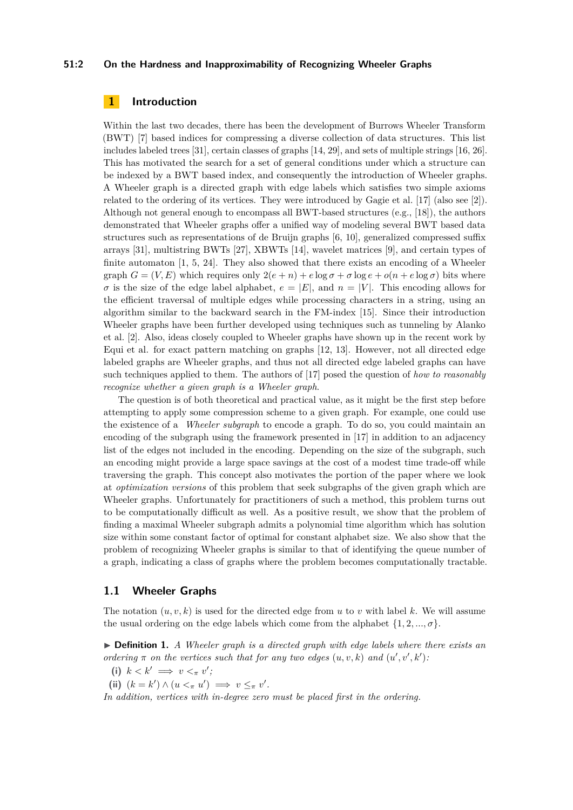#### **51:2 On the Hardness and Inapproximability of Recognizing Wheeler Graphs**

# **1 Introduction**

Within the last two decades, there has been the development of Burrows Wheeler Transform (BWT) [\[7\]](#page-13-0) based indices for compressing a diverse collection of data structures. This list includes labeled trees [\[31\]](#page-15-1), certain classes of graphs [\[14,](#page-14-0) [29\]](#page-15-2), and sets of multiple strings [\[16,](#page-14-1) [26\]](#page-14-2). This has motivated the search for a set of general conditions under which a structure can be indexed by a BWT based index, and consequently the introduction of Wheeler graphs. A Wheeler graph is a directed graph with edge labels which satisfies two simple axioms related to the ordering of its vertices. They were introduced by Gagie et al. [\[17\]](#page-14-3) (also see [\[2\]](#page-13-1)). Although not general enough to encompass all BWT-based structures (e.g., [\[18\]](#page-14-4)), the authors demonstrated that Wheeler graphs offer a unified way of modeling several BWT based data structures such as representations of de Bruijn graphs [\[6,](#page-13-2) [10\]](#page-14-5), generalized compressed suffix arrays [\[31\]](#page-15-1), multistring BWTs [\[27\]](#page-15-3), XBWTs [\[14\]](#page-14-0), wavelet matrices [\[9\]](#page-14-6), and certain types of finite automaton  $[1, 5, 24]$  $[1, 5, 24]$  $[1, 5, 24]$  $[1, 5, 24]$  $[1, 5, 24]$ . They also showed that there exists an encoding of a Wheeler graph  $G = (V, E)$  which requires only  $2(e+n) + e \log \sigma + \sigma \log e + o(n + e \log \sigma)$  bits where  $\sigma$  is the size of the edge label alphabet,  $e = |E|$ , and  $n = |V|$ . This encoding allows for the efficient traversal of multiple edges while processing characters in a string, using an algorithm similar to the backward search in the FM-index [\[15\]](#page-14-8). Since their introduction Wheeler graphs have been further developed using techniques such as tunneling by Alanko et al. [\[2\]](#page-13-1). Also, ideas closely coupled to Wheeler graphs have shown up in the recent work by Equi et al. for exact pattern matching on graphs [\[12,](#page-14-9) [13\]](#page-14-10). However, not all directed edge labeled graphs are Wheeler graphs, and thus not all directed edge labeled graphs can have such techniques applied to them. The authors of [\[17\]](#page-14-3) posed the question of *how to reasonably recognize whether a given graph is a Wheeler graph*.

The question is of both theoretical and practical value, as it might be the first step before attempting to apply some compression scheme to a given graph. For example, one could use the existence of a *Wheeler subgraph* to encode a graph. To do so, you could maintain an encoding of the subgraph using the framework presented in [\[17\]](#page-14-3) in addition to an adjacency list of the edges not included in the encoding. Depending on the size of the subgraph, such an encoding might provide a large space savings at the cost of a modest time trade-off while traversing the graph. This concept also motivates the portion of the paper where we look at *optimization versions* of this problem that seek subgraphs of the given graph which are Wheeler graphs. Unfortunately for practitioners of such a method, this problem turns out to be computationally difficult as well. As a positive result, we show that the problem of finding a maximal Wheeler subgraph admits a polynomial time algorithm which has solution size within some constant factor of optimal for constant alphabet size. We also show that the problem of recognizing Wheeler graphs is similar to that of identifying the queue number of a graph, indicating a class of graphs where the problem becomes computationally tractable.

#### **1.1 Wheeler Graphs**

The notation  $(u, v, k)$  is used for the directed edge from  $u$  to  $v$  with label  $k$ . We will assume the usual ordering on the edge labels which come from the alphabet  $\{1, 2, ..., \sigma\}$ .

<span id="page-1-0"></span>I **Definition 1.** *A Wheeler graph is a directed graph with edge labels where there exists an ordering*  $\pi$  *on the vertices such that for any two edges*  $(u, v, k)$  *and*  $(u', v', k')$ *:* 

- (i)  $k < k' \implies v <_{\pi} v'$ ;
- (ii)  $(k = k') \wedge (u <_{\pi} u') \implies v \leq_{\pi} v'$ .

*In addition, vertices with in-degree zero must be placed first in the ordering.*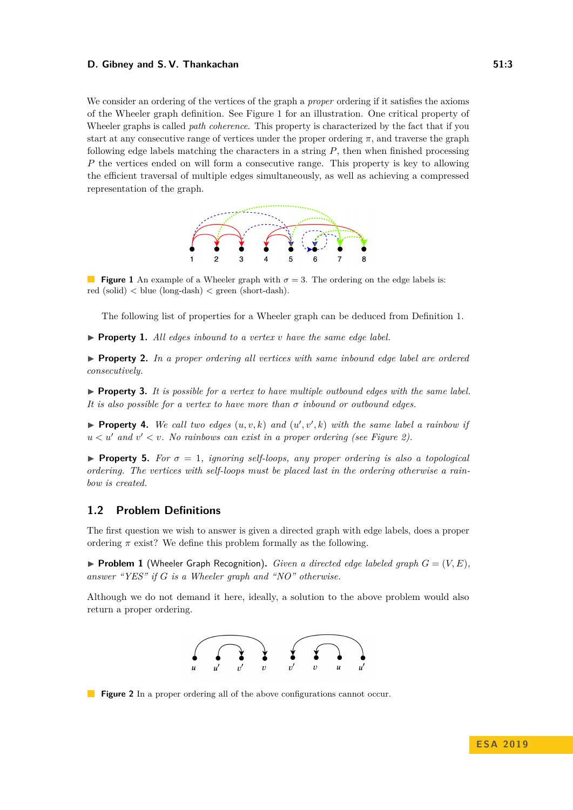#### **D. Gibney and S. V. Thankachan 51:3 51:3**

We consider an ordering of the vertices of the graph a *proper* ordering if it satisfies the axioms of the Wheeler graph definition. See Figure [1](#page-2-0) for an illustration. One critical property of Wheeler graphs is called *path coherence*. This property is characterized by the fact that if you start at any consecutive range of vertices under the proper ordering *π*, and traverse the graph following edge labels matching the characters in a string *P*, then when finished processing *P* the vertices ended on will form a consecutive range. This property is key to allowing the efficient traversal of multiple edges simultaneously, as well as achieving a compressed representation of the graph.



<span id="page-2-0"></span>**Figure 1** An example of a Wheeler graph with  $\sigma = 3$ . The ordering on the edge labels is:  $red (solid) < blue (long-dash) < green (short-dash).$ 

The following list of properties for a Wheeler graph can be deduced from Definition [1.](#page-1-0)

 $\triangleright$  **Property 1.** All edges inbound to a vertex *v* have the same edge label.

**Property 2.** In a proper ordering all vertices with same inbound edge label are ordered *consecutively.*

 $\triangleright$  **Property 3.** It is possible for a vertex to have multiple outbound edges with the same label. *It is also possible for a vertex to have more than σ inbound or outbound edges.*

**Property 4.** We call two edges  $(u, v, k)$  and  $(u', v', k)$  with the same label a rainbow if  $u < u'$  and  $v' < v$ . No rainbows can exist in a proper ordering (see Figure [2\)](#page-2-1).

**Property 5.** For  $\sigma = 1$ , ignoring self-loops, any proper ordering is also a topological *ordering. The vertices with self-loops must be placed last in the ordering otherwise a rainbow is created.*

# <span id="page-2-3"></span>**1.2 Problem Definitions**

The first question we wish to answer is given a directed graph with edge labels, does a proper ordering  $\pi$  exist? We define this problem formally as the following.

<span id="page-2-2"></span>**• Problem 1** (Wheeler Graph Recognition). *Given a directed edge labeled graph*  $G = (V, E)$ . *answer "YES" if G is a Wheeler graph and "NO" otherwise.*

<span id="page-2-1"></span>Although we do not demand it here, ideally, a solution to the above problem would also return a proper ordering.



**Figure 2** In a proper ordering all of the above configurations cannot occur.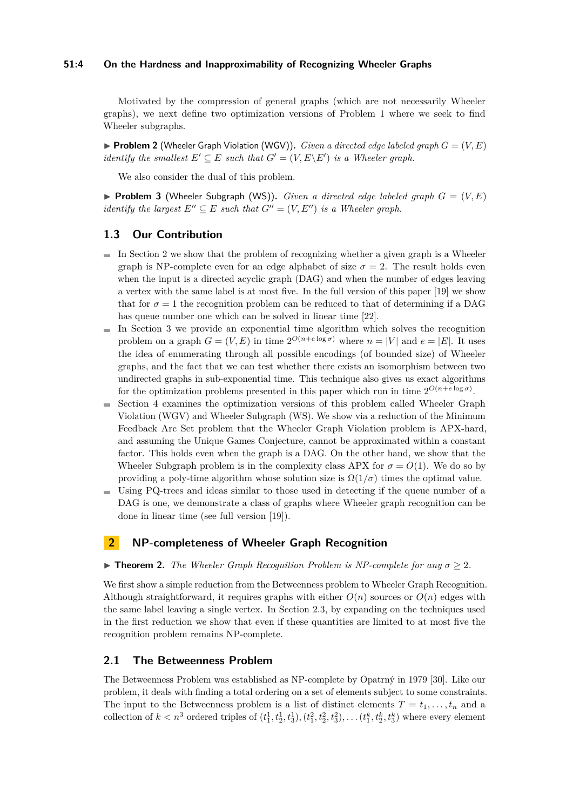#### **51:4 On the Hardness and Inapproximability of Recognizing Wheeler Graphs**

Motivated by the compression of general graphs (which are not necessarily Wheeler graphs), we next define two optimization versions of Problem [1](#page-2-2) where we seek to find Wheeler subgraphs.

**Problem 2** (Wheeler Graph Violation (WGV)). *Given a directed edge labeled graph*  $G = (V, E)$ *identify the smallest*  $E' \subseteq E$  *such that*  $G' = (V, E \setminus E')$  *is a Wheeler graph.* 

We also consider the dual of this problem.

**Problem 3** (Wheeler Subgraph (WS)). *Given a directed edge labeled graph*  $G = (V, E)$ *identify the largest*  $E'' \subseteq E$  *such that*  $G'' = (V, E'')$  *is a Wheeler graph.* 

### **1.3 Our Contribution**

- $\blacksquare$  In Section [2](#page-3-0) we show that the problem of recognizing whether a given graph is a Wheeler graph is NP-complete even for an edge alphabet of size  $\sigma = 2$ . The result holds even when the input is a directed acyclic graph (DAG) and when the number of edges leaving a vertex with the same label is at most five. In the full version of this paper [\[19\]](#page-14-11) we show that for  $\sigma = 1$  the recognition problem can be reduced to that of determining if a DAG has queue number one which can be solved in linear time [\[22\]](#page-14-12).
- $\blacksquare$  In Section [3](#page-7-0) we provide an exponential time algorithm which solves the recognition problem on a graph  $G = (V, E)$  in time  $2^{O(n + e \log \sigma)}$  where  $n = |V|$  and  $e = |E|$ . It uses the idea of enumerating through all possible encodings (of bounded size) of Wheeler graphs, and the fact that we can test whether there exists an isomorphism between two undirected graphs in sub-exponential time. This technique also gives us exact algorithms for the optimization problems presented in this paper which run in time  $2^{O(n+e \log \sigma)}$ .
- Section [4](#page-9-0) examines the optimization versions of this problem called Wheeler Graph  $\blacksquare$ Violation (WGV) and Wheeler Subgraph (WS). We show via a reduction of the Minimum Feedback Arc Set problem that the Wheeler Graph Violation problem is APX-hard, and assuming the Unique Games Conjecture, cannot be approximated within a constant factor. This holds even when the graph is a DAG. On the other hand, we show that the Wheeler Subgraph problem is in the complexity class APX for  $\sigma = O(1)$ . We do so by providing a poly-time algorithm whose solution size is  $\Omega(1/\sigma)$  times the optimal value.
- Using PQ-trees and ideas similar to those used in detecting if the queue number of a  $\equiv$ DAG is one, we demonstrate a class of graphs where Wheeler graph recognition can be done in linear time (see full version [\[19\]](#page-14-11)).

### <span id="page-3-0"></span>**2 NP-completeness of Wheeler Graph Recognition**

#### <span id="page-3-1"></span>**Findmergeright** The Wheeler Graph Recognition Problem is NP-complete for any  $\sigma > 2$ .

We first show a simple reduction from the Betweenness problem to Wheeler Graph Recognition. Although straightforward, it requires graphs with either  $O(n)$  sources or  $O(n)$  edges with the same label leaving a single vertex. In Section [2.3,](#page-5-0) by expanding on the techniques used in the first reduction we show that even if these quantities are limited to at most five the recognition problem remains NP-complete.

### **2.1 The Betweenness Problem**

The Betweenness Problem was established as NP-complete by Opatrný in 1979 [\[30\]](#page-15-4). Like our problem, it deals with finding a total ordering on a set of elements subject to some constraints. The input to the Betweenness problem is a list of distinct elements  $T = t_1, \ldots, t_n$  and a collection of  $k < n^3$  ordered triples of  $(t_1^1, t_2^1, t_3^1), (t_1^2, t_2^2, t_3^2), \ldots (t_1^k, t_2^k, t_3^k)$  where every element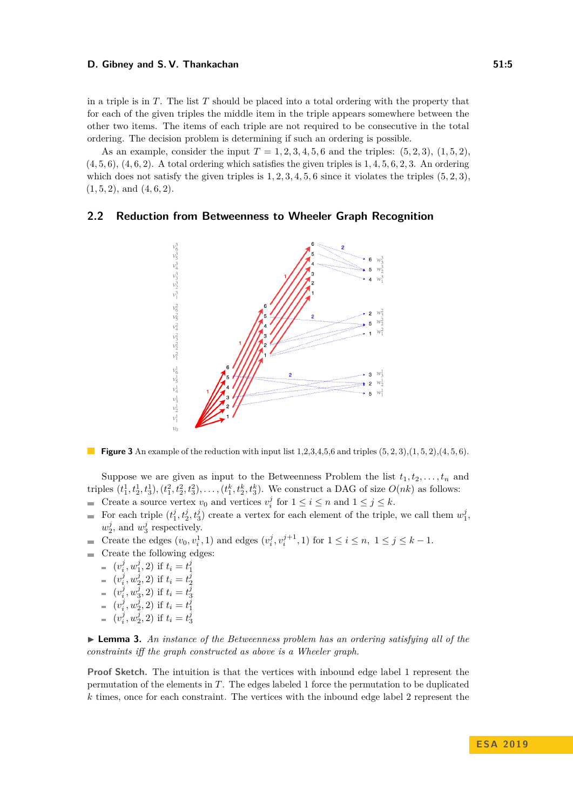#### **D. Gibney and S. V. Thankachan 51:5 51:5**

in a triple is in *T*. The list *T* should be placed into a total ordering with the property that for each of the given triples the middle item in the triple appears somewhere between the other two items. The items of each triple are not required to be consecutive in the total ordering. The decision problem is determining if such an ordering is possible.

As an example, consider the input  $T = 1, 2, 3, 4, 5, 6$  and the triples:  $(5, 2, 3), (1, 5, 2),$ (4*,* 5*,* 6), (4*,* 6*,* 2). A total ordering which satisfies the given triples is 1*,* 4*,* 5*,* 6*,* 2*,* 3. An ordering which does not satisfy the given triples is  $1, 2, 3, 4, 5, 6$  since it violates the triples  $(5, 2, 3)$ , (1*,* 5*,* 2), and (4*,* 6*,* 2).

# **2.2 Reduction from Betweenness to Wheeler Graph Recognition**



**Figure 3** An example of the reduction with input list  $1,2,3,4,5,6$  and triples  $(5,2,3), (1,5,2), (4,5,6)$ .

Suppose we are given as input to the Betweenness Problem the list  $t_1, t_2, \ldots, t_n$  and triples  $(t_1^1, t_2^1, t_3^1), (t_1^2, t_2^2, t_3^2), \ldots, (t_1^k, t_2^k, t_3^k)$ . We construct a DAG of size  $O(nk)$  as follows:

- Create a source vertex  $v_0$  and vertices  $v_i^j$  for  $1 \le i \le n$  and  $1 \le j \le k$ .  $\blacksquare$
- For each triple  $(t_1^j, t_2^j, t_3^j)$  create a vertex for each element of the triple, we call them  $w_1^j$ ,  $\overline{\phantom{a}}$  $w_2^j$ , and  $w_3^j$  respectively.
- Create the edges  $(v_0, v_i^1, 1)$  and edges  $(v_i^j, v_i^{j+1}, 1)$  for  $1 \le i \le n, 1 \le j \le k 1$ .
- Create the following edges:
	- $(v_i^j, w_1^j, 2)$  if  $t_i = t_1^j$
	- $(v_i^j, w_2^j, 2)$  if  $t_i = t_2^j$
	- $(v_i^j, w_3^j, 2)$  if  $t_i = t_3^j$
	- $(v_i^j, w_2^j, 2)$  if  $t_i = t_1^j$
	- $(v_i^j, w_2^j, 2)$  if  $t_i = t_3^j$

<span id="page-4-0"></span> $\blacktriangleright$  **Lemma 3.** An instance of the Betweenness problem has an ordering satisfying all of the *constraints iff the graph constructed as above is a Wheeler graph.*

**Proof Sketch.** The intuition is that the vertices with inbound edge label 1 represent the permutation of the elements in *T*. The edges labeled 1 force the permutation to be duplicated *k* times, once for each constraint. The vertices with the inbound edge label 2 represent the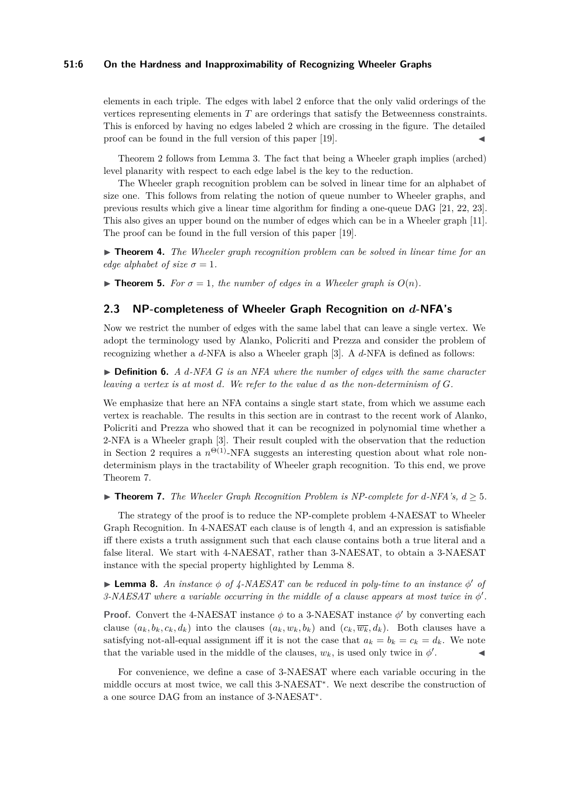#### **51:6 On the Hardness and Inapproximability of Recognizing Wheeler Graphs**

elements in each triple. The edges with label 2 enforce that the only valid orderings of the vertices representing elements in *T* are orderings that satisfy the Betweenness constraints. This is enforced by having no edges labeled 2 which are crossing in the figure. The detailed proof can be found in the full version of this paper [\[19\]](#page-14-11).

Theorem [2](#page-3-1) follows from Lemma [3.](#page-4-0) The fact that being a Wheeler graph implies (arched) level planarity with respect to each edge label is the key to the reduction.

The Wheeler graph recognition problem can be solved in linear time for an alphabet of size one. This follows from relating the notion of queue number to Wheeler graphs, and previous results which give a linear time algorithm for finding a one-queue DAG [\[21,](#page-14-13) [22,](#page-14-12) [23\]](#page-14-14). This also gives an upper bound on the number of edges which can be in a Wheeler graph [\[11\]](#page-14-15). The proof can be found in the full version of this paper [\[19\]](#page-14-11).

► **Theorem 4.** *The Wheeler graph recognition problem can be solved in linear time for an edge alphabet of size*  $\sigma = 1$ *.* 

<span id="page-5-3"></span>**Find 5.** For  $\sigma = 1$ , the number of edges in a Wheeler graph is  $O(n)$ .

# <span id="page-5-0"></span>**2.3 NP-completeness of Wheeler Graph Recognition on** *d***-NFA's**

Now we restrict the number of edges with the same label that can leave a single vertex. We adopt the terminology used by Alanko, Policriti and Prezza and consider the problem of recognizing whether a *d*-NFA is also a Wheeler graph [\[3\]](#page-13-5). A *d*-NFA is defined as follows:

 $\triangleright$  **Definition 6.** *A d*-NFA *G* is an NFA where the number of edges with the same character *leaving a vertex is at most d. We refer to the value d as the non-determinism of G.*

We emphasize that here an NFA contains a single start state, from which we assume each vertex is reachable. The results in this section are in contrast to the recent work of Alanko, Policriti and Prezza who showed that it can be recognized in polynomial time whether a 2-NFA is a Wheeler graph [\[3\]](#page-13-5). Their result coupled with the observation that the reduction in Section [2](#page-3-0) requires a  $n^{\Theta(1)}$ -NFA suggests an interesting question about what role nondeterminism plays in the tractability of Wheeler graph recognition. To this end, we prove Theorem [7.](#page-5-1)

<span id="page-5-1"></span>▶ **Theorem 7.** *The Wheeler Graph Recognition Problem is NP-complete for d-NFA's,*  $d \geq 5$ *.* 

The strategy of the proof is to reduce the NP-complete problem 4-NAESAT to Wheeler Graph Recognition. In 4-NAESAT each clause is of length 4, and an expression is satisfiable iff there exists a truth assignment such that each clause contains both a true literal and a false literal. We start with 4-NAESAT, rather than 3-NAESAT, to obtain a 3-NAESAT instance with the special property highlighted by Lemma [8.](#page-5-2)

<span id="page-5-2"></span>**Lemma 8.** An instance  $\phi$  of  $\frac{1}{4}$ -NAESAT can be reduced in poly-time to an instance  $\phi'$  of  $3\text{-}NAESAT$  where a variable occurring in the middle of a clause appears at most twice in  $\phi'$ .

**Proof.** Convert the 4-NAESAT instance  $\phi$  to a 3-NAESAT instance  $\phi'$  by converting each clause  $(a_k, b_k, c_k, d_k)$  into the clauses  $(a_k, w_k, b_k)$  and  $(c_k, \overline{w_k}, d_k)$ . Both clauses have a satisfying not-all-equal assignment iff it is not the case that  $a_k = b_k = c_k = d_k$ . We note that the variable used in the middle of the clauses,  $w_k$ , is used only twice in  $\phi'$  $\mathcal{L}$   $\mathcal{L}$ 

For convenience, we define a case of 3-NAESAT where each variable occuring in the middle occurs at most twice, we call this 3-NAESAT<sup>∗</sup> . We next describe the construction of a one source DAG from an instance of 3-NAESAT<sup>∗</sup> .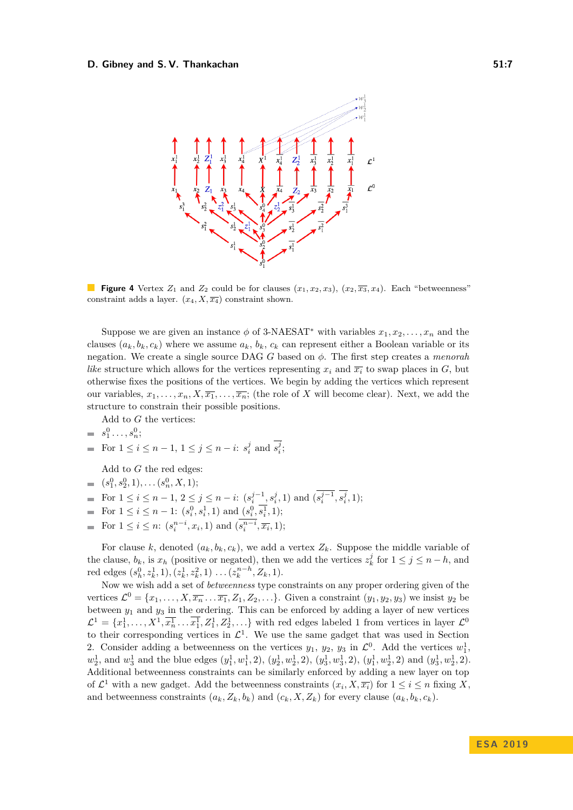#### <span id="page-6-0"></span>**D. Gibney and S. V. Thankachan 51:7** 51:7



**Figure 4** Vertex  $Z_1$  and  $Z_2$  could be for clauses  $(x_1, x_2, x_3)$ ,  $(x_2, \overline{x_3}, x_4)$ . Each "betweenness" constraint adds a layer.  $(x_4, X, \overline{x_4})$  constraint shown.

Suppose we are given an instance  $\phi$  of 3-NAESAT<sup>\*</sup> with variables  $x_1, x_2, \ldots, x_n$  and the clauses  $(a_k, b_k, c_k)$  where we assume  $a_k, b_k, c_k$  can represent either a Boolean variable or its negation. We create a single source DAG *G* based on *φ*. The first step creates a *menorah like* structure which allows for the vertices representing  $x_i$  and  $\overline{x_i}$  to swap places in *G*, but otherwise fixes the positions of the vertices. We begin by adding the vertices which represent our variables,  $x_1, \ldots, x_n, X, \overline{x_1}, \ldots, \overline{x_n}$ ; (the role of *X* will become clear). Next, we add the structure to constrain their possible positions.

Add to *G* the vertices:

$$
= s_1^0 \ldots, s_n^0;
$$

• For 
$$
1 \leq i \leq n-1
$$
,  $1 \leq j \leq n-i$ :  $s_i^j$  and  $s_i^j$ ;

Add to *G* the red edges:

- $(s_1^0, s_2^0, 1), \ldots (s_n^0, X, 1);$
- For  $1 \leq i \leq n-1$ ,  $2 \leq j \leq n-i$ :  $(s_i^{j-1}, s_i^j, 1)$  and  $(s_i^{j-1}, s_i^j, 1)$ ;
- For  $1 \leq i \leq n-1$ :  $(s_i^0, s_i^1, 1)$  and  $(s_i^0, s_i^1, 1)$ ;
- For  $1 \leq i \leq n$ :  $(s_i^{n-i}, x_i, 1)$  and  $(s_i^{n-i}, \overline{x_i}, 1)$ ;

For clause *k*, denoted  $(a_k, b_k, c_k)$ , we add a vertex  $Z_k$ . Suppose the middle variable of the clause,  $b_k$ , is  $x_h$  (positive or negated), then we add the vertices  $z_k^j$  for  $1 \leq j \leq n - h$ , and red edges  $(s_h^0, z_k^1, 1), (z_k^1, z_k^2, 1) \ldots (z_k^{n-h}, Z_k, 1).$ 

Now we wish add a set of *betweenness* type constraints on any proper ordering given of the vertices  $\mathcal{L}^0 = \{x_1, \ldots, X, \overline{x_n} \ldots \overline{x_1}, Z_1, Z_2, \ldots\}$ . Given a constraint  $(y_1, y_2, y_3)$  we insist  $y_2$  be between  $y_1$  and  $y_3$  in the ordering. This can be enforced by adding a layer of new vertices  $\mathcal{L}^1 = \{x_1^1, \ldots, X^1, \overline{x_n^1} \ldots \overline{x_1^1}, Z_1^1, Z_2^1, \ldots\}$  with red edges labeled 1 from vertices in layer  $\mathcal{L}^0$ to their corresponding vertices in  $\mathcal{L}^1$ . We use the same gadget that was used in Section [2.](#page-3-0) Consider adding a betweenness on the vertices  $y_1$ ,  $y_2$ ,  $y_3$  in  $\mathcal{L}^0$ . Add the vertices  $w_1^1$ ,  $w_2^1$ , and  $w_3^1$  and the blue edges  $(y_1^1, w_1^1, 2)$ ,  $(y_2^1, w_2^1, 2)$ ,  $(y_3^1, w_3^1, 2)$ ,  $(y_1^1, w_2^1, 2)$  and  $(y_3^1, w_2^1, 2)$ . Additional betweenness constraints can be similarly enforced by adding a new layer on top of  $\mathcal{L}^1$  with a new gadget. Add the betweenness constraints  $(x_i, X, \overline{x_i})$  for  $1 \leq i \leq n$  fixing X, and betweenness constraints  $(a_k, Z_k, b_k)$  and  $(c_k, X, Z_k)$  for every clause  $(a_k, b_k, c_k)$ .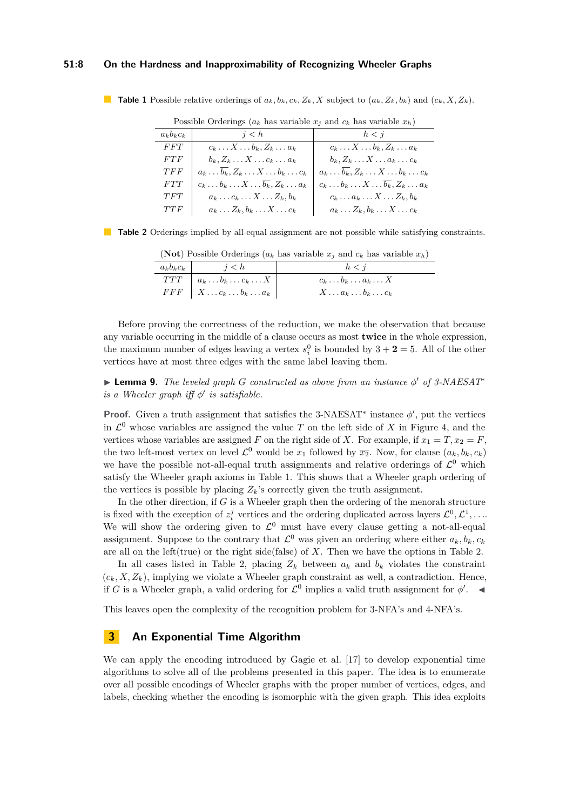#### **51:8 On the Hardness and Inapproximability of Recognizing Wheeler Graphs**

<span id="page-7-1"></span>**Table 1** Possible relative orderings of  $a_k, b_k, c_k, Z_k, X$  subject to  $(a_k, Z_k, b_k)$  and  $(c_k, X, Z_k)$ .

| I OSSIDIC OTGETINGS ( $u_k$ has variable $x_i$ and $c_k$ has variable $x_h$ ) |                                                                 |  |  |
|-------------------------------------------------------------------------------|-----------------------------------------------------------------|--|--|
| j < h                                                                         | h < i                                                           |  |  |
| $c_k \ldots X \ldots b_k, Z_k \ldots a_k$                                     | $c_k \ldots X \ldots b_k, Z_k \ldots a_k$                       |  |  |
| $b_k, Z_k, \ldots X, \ldots c_k, \ldots a_k$                                  | $b_k, Z_k, \ldots X, \ldots a_k, \ldots c_k$                    |  |  |
| $a_k \ldots \overline{b_k}, Z_k \ldots X \ldots b_k \ldots c_k$               | $a_k \ldots \overline{b_k}, Z_k \ldots X \ldots b_k \ldots c_k$ |  |  |
| $c_k \ldots b_k \ldots X \ldots \overline{b_k}, Z_k \ldots a_k$               | $c_k \ldots b_k \ldots X \ldots \overline{b_k}, Z_k \ldots a_k$ |  |  |
| $a_k \ldots c_k \ldots X \ldots Z_k, b_k$                                     | $c_k \ldots a_k \ldots X \ldots Z_k, b_k$                       |  |  |
| $a_k \ldots Z_k, b_k \ldots X \ldots c_k$                                     | $a_k \ldots Z_k, b_k \ldots X \ldots c_k$                       |  |  |
|                                                                               |                                                                 |  |  |

Possible Orderings  $(a_k)$  has variable  $x_i$  and  $c_k$  has variable  $x_k$ )

<span id="page-7-2"></span>**Table 2** Orderings implied by all-equal assignment are not possible while satisfying constraints.

|                                                    | (1000) T Ossible Orderlings ( $u_k$ has variable $x_j$ and $c_k$ has variable $x_h$ ) |
|----------------------------------------------------|---------------------------------------------------------------------------------------|
| $a_k b_k c_k$ $i < h$                              | h < i                                                                                 |
| $TTT \mid a_k \ldots b_k \ldots c_k \ldots X \mid$ | $c_k \ldots b_k \ldots a_k \ldots X$                                                  |
| $FFF \mid X \ldots c_k \ldots b_k \ldots a_k \mid$ | $X \ldots a_k \ldots b_k \ldots c_k$                                                  |

(**Not**) Possible Orderings (*a<sup>k</sup>* has variable *x<sup>j</sup>* and *c<sup>k</sup>* has variable *xh*)

Before proving the correctness of the reduction, we make the observation that because any variable occurring in the middle of a clause occurs as most **twice** in the whole expression, the maximum number of edges leaving a vertex  $s_i^0$  is bounded by  $3 + 2 = 5$ . All of the other vertices have at most three edges with the same label leaving them.

I **Lemma 9.** *The leveled graph G constructed as above from an instance φ* <sup>0</sup> *of 3-NAESAT*<sup>∗</sup> *is a Wheeler graph iff*  $\phi'$  *is satisfiable.* 

**Proof.** Given a truth assignment that satisfies the 3-NAESAT<sup>\*</sup> instance  $\phi'$ , put the vertices in  $\mathcal{L}^0$  whose variables are assigned the value *T* on the left side of *X* in Figure [4,](#page-6-0) and the vertices whose variables are assigned *F* on the right side of *X*. For example, if  $x_1 = T, x_2 = F$ , the two left-most vertex on level  $\mathcal{L}^0$  would be  $x_1$  followed by  $\overline{x_2}$ . Now, for clause  $(a_k, b_k, c_k)$ we have the possible not-all-equal truth assignments and relative orderings of  $\mathcal{L}^0$  which satisfy the Wheeler graph axioms in Table [1.](#page-7-1) This shows that a Wheeler graph ordering of the vertices is possible by placing  $Z_k$ 's correctly given the truth assignment.

In the other direction, if *G* is a Wheeler graph then the ordering of the menorah structure is fixed with the exception of  $z_i^j$  vertices and the ordering duplicated across layers  $\mathcal{L}^0, \mathcal{L}^1, \ldots$ We will show the ordering given to  $\mathcal{L}^0$  must have every clause getting a not-all-equal assignment. Suppose to the contrary that  $\mathcal{L}^0$  was given an ordering where either  $a_k, b_k, c_k$ are all on the left(true) or the right side(false) of *X*. Then we have the options in Table [2.](#page-7-2)

In all cases listed in Table [2,](#page-7-2) placing  $Z_k$  between  $a_k$  and  $b_k$  violates the constraint  $(c_k, X, Z_k)$ , implying we violate a Wheeler graph constraint as well, a contradiction. Hence, if *G* is a Wheeler graph, a valid ordering for  $\mathcal{L}^0$  implies a valid truth assignment for  $\phi'$ .

This leaves open the complexity of the recognition problem for 3-NFA's and 4-NFA's.

# <span id="page-7-0"></span>**3 An Exponential Time Algorithm**

We can apply the encoding introduced by Gagie et al. [\[17\]](#page-14-3) to develop exponential time algorithms to solve all of the problems presented in this paper. The idea is to enumerate over all possible encodings of Wheeler graphs with the proper number of vertices, edges, and labels, checking whether the encoding is isomorphic with the given graph. This idea exploits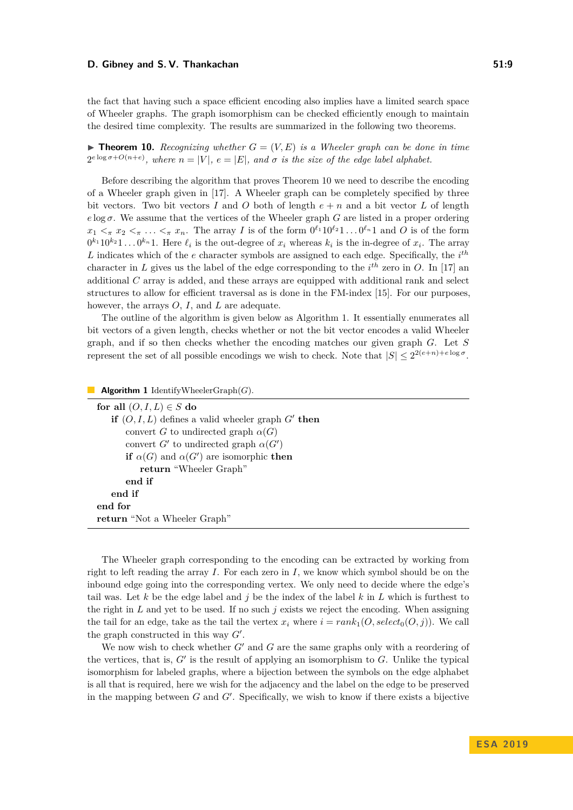#### **D. Gibney and S. V. Thankachan 51:9** 51:9

the fact that having such a space efficient encoding also implies have a limited search space of Wheeler graphs. The graph isomorphism can be checked efficiently enough to maintain the desired time complexity. The results are summarized in the following two theorems.

<span id="page-8-0"></span>**Findment 10.** Recognizing whether  $G = (V, E)$  is a Wheeler graph can be done in time  $2^{e \log \sigma + O(n+e)}$ , where  $n = |V|$ ,  $e = |E|$ , and  $\sigma$  is the size of the edge label alphabet.

Before describing the algorithm that proves Theorem [10](#page-8-0) we need to describe the encoding of a Wheeler graph given in [\[17\]](#page-14-3). A Wheeler graph can be completely specified by three bit vectors. Two bit vectors *I* and *O* both of length  $e + n$  and a bit vector *L* of length *e* log  $\sigma$ . We assume that the vertices of the Wheeler graph *G* are listed in a proper ordering  $x_1 <_{\pi} x_2 <_{\pi} \ldots <_{\pi} x_n$ . The array *I* is of the form  $0^{\ell_1} 10^{\ell_2} 1 \ldots 0^{\ell_n} 1$  and *O* is of the form  $0^{k_1}10^{k_2}1...0^{k_n}1$ . Here  $\ell_i$  is the out-degree of  $x_i$  whereas  $k_i$  is the in-degree of  $x_i$ . The array *L* indicates which of the *e* character symbols are assigned to each edge. Specifically, the *i th* character in L gives us the label of the edge corresponding to the  $i^{th}$  zero in O. In [\[17\]](#page-14-3) an additional *C* array is added, and these arrays are equipped with additional rank and select structures to allow for efficient traversal as is done in the FM-index [\[15\]](#page-14-8). For our purposes, however, the arrays *O*, *I*, and *L* are adequate.

The outline of the algorithm is given below as Algorithm [1.](#page-8-1) It essentially enumerates all bit vectors of a given length, checks whether or not the bit vector encodes a valid Wheeler graph, and if so then checks whether the encoding matches our given graph *G*. Let *S* represent the set of all possible encodings we wish to check. Note that  $|S| \leq 2^{2(e+n)+e \log \sigma}$ .

<span id="page-8-1"></span>**Algorithm 1** IdentifyWheelerGraph(*G*).

| for all $(O, I, L) \in S$ do                           |  |  |
|--------------------------------------------------------|--|--|
| if $(O, I, L)$ defines a valid wheeler graph $G'$ then |  |  |
| convert G to undirected graph $\alpha(G)$              |  |  |
| convert G' to undirected graph $\alpha(G')$            |  |  |
| if $\alpha(G)$ and $\alpha(G')$ are isomorphic then    |  |  |
| return "Wheeler Graph"                                 |  |  |
| end if                                                 |  |  |
| end if                                                 |  |  |
| end for                                                |  |  |
| return "Not a Wheeler Graph"                           |  |  |

The Wheeler graph corresponding to the encoding can be extracted by working from right to left reading the array *I*. For each zero in *I*, we know which symbol should be on the inbound edge going into the corresponding vertex. We only need to decide where the edge's tail was. Let  $k$  be the edge label and  $j$  be the index of the label  $k$  in  $L$  which is furthest to the right in *L* and yet to be used. If no such *j* exists we reject the encoding. When assigning the tail for an edge, take as the tail the vertex  $x_i$  where  $i = rank_1(O, select_0(O, j))$ . We call the graph constructed in this way  $G'$ .

We now wish to check whether  $G'$  and  $G$  are the same graphs only with a reordering of the vertices, that is,  $G'$  is the result of applying an isomorphism to  $G$ . Unlike the typical isomorphism for labeled graphs, where a bijection between the symbols on the edge alphabet is all that is required, here we wish for the adjacency and the label on the edge to be preserved in the mapping between  $G$  and  $G'$ . Specifically, we wish to know if there exists a bijective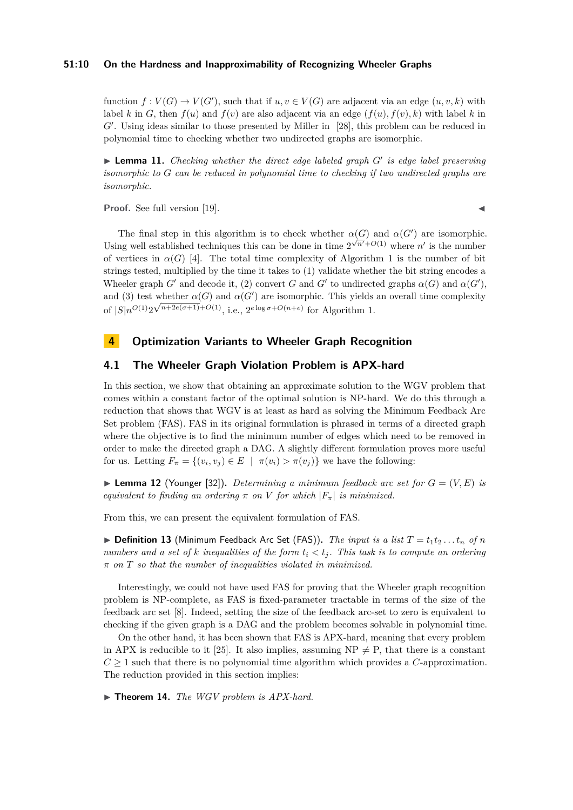#### **51:10 On the Hardness and Inapproximability of Recognizing Wheeler Graphs**

function  $f: V(G) \to V(G')$ , such that if  $u, v \in V(G)$  are adjacent via an edge  $(u, v, k)$  with label *k* in *G*, then  $f(u)$  and  $f(v)$  are also adjacent via an edge  $(f(u), f(v), k)$  with label *k* in G'. Using ideas similar to those presented by Miller in [\[28\]](#page-15-5), this problem can be reduced in polynomial time to checking whether two undirected graphs are isomorphic.

▶ Lemma 11. *Checking whether the direct edge labeled graph G' is edge label preserving isomorphic to G can be reduced in polynomial time to checking if two undirected graphs are isomorphic.*

**Proof.** See full version [\[19\]](#page-14-11).

The final step in this algorithm is to check whether  $\alpha(G)$  and  $\alpha(G')$  are isomorphic. Using well established techniques this can be done in time  $2^{\sqrt{n'}+O(1)}$  where *n'* is the number of vertices in  $\alpha(G)$  [\[4\]](#page-13-6). The total time complexity of Algorithm [1](#page-8-1) is the number of bit strings tested, multiplied by the time it takes to (1) validate whether the bit string encodes a Wheeler graph *G*<sup> $\prime$ </sup> and decode it, (2) convert *G* and *G*<sup> $\prime$ </sup> to undirected graphs  $\alpha(G)$  and  $\alpha(G')$ , and (3) test whether  $\alpha(G)$  and  $\alpha(G')$  are isomorphic. This yields an overall time complexity of  $|S|n^{O(1)}2\sqrt{n+2e(\sigma+1)+O(1)}$ , i.e.,  $2^{e \log \sigma+O(n+e)}$  for Algorithm [1.](#page-8-1)

# <span id="page-9-0"></span>**4 Optimization Variants to Wheeler Graph Recognition**

# **4.1 The Wheeler Graph Violation Problem is APX-hard**

In this section, we show that obtaining an approximate solution to the WGV problem that comes within a constant factor of the optimal solution is NP-hard. We do this through a reduction that shows that WGV is at least as hard as solving the Minimum Feedback Arc Set problem (FAS). FAS in its original formulation is phrased in terms of a directed graph where the objective is to find the minimum number of edges which need to be removed in order to make the directed graph a DAG. A slightly different formulation proves more useful for us. Letting  $F_{\pi} = \{(v_i, v_j) \in E \mid \pi(v_i) > \pi(v_j)\}\$  we have the following:

**Example 12** (Younger [\[32\]](#page-15-6)). *Determining a minimum feedback arc set for*  $G = (V, E)$  *is equivalent to finding an ordering*  $\pi$  *on*  $V$  *for which*  $|F_{\pi}|$  *is minimized.* 

From this, we can present the equivalent formulation of FAS.

 $\triangleright$  **Definition 13** (Minimum Feedback Arc Set (FAS)). The input is a list  $T = t_1 t_2 \ldots t_n$  of *n numbers and a set of k inequalities of the form*  $t_i < t_j$ . This task is to compute an ordering *π on T so that the number of inequalities violated in minimized.*

Interestingly, we could not have used FAS for proving that the Wheeler graph recognition problem is NP-complete, as FAS is fixed-parameter tractable in terms of the size of the feedback arc set [\[8\]](#page-14-16). Indeed, setting the size of the feedback arc-set to zero is equivalent to checking if the given graph is a DAG and the problem becomes solvable in polynomial time.

On the other hand, it has been shown that FAS is APX-hard, meaning that every problem in APX is reducible to it [\[25\]](#page-14-17). It also implies, assuming  $NP \neq P$ , that there is a constant  $C \geq 1$  such that there is no polynomial time algorithm which provides a *C*-approximation. The reduction provided in this section implies:

<span id="page-9-1"></span>▶ **Theorem 14.** *The WGV problem is APX-hard.*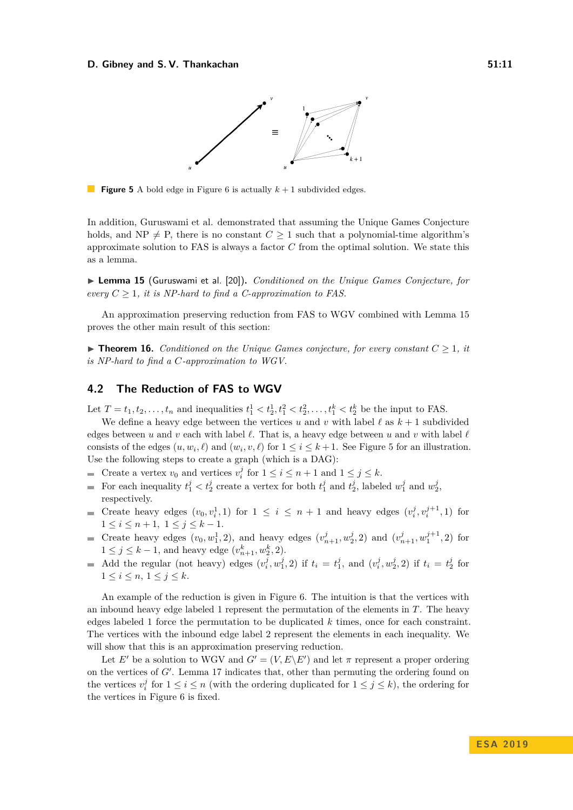#### <span id="page-10-1"></span>**D. Gibney and S. V. Thankachan 51:11 51:11**



**Figure 5** A bold edge in Figure [6](#page-11-0) is actually  $k + 1$  subdivided edges.

In addition, Guruswami et al. demonstrated that assuming the Unique Games Conjecture holds, and NP  $\neq$  P, there is no constant  $C \geq 1$  such that a polynomial-time algorithm's approximate solution to FAS is always a factor *C* from the optimal solution. We state this as a lemma.

<span id="page-10-0"></span>▶ Lemma 15 (Guruswami et al. [\[20\]](#page-14-18)). *Conditioned on the Unique Games Conjecture, for every*  $C \geq 1$ *, it is NP-hard to find a C-approximation to FAS.* 

An approximation preserving reduction from FAS to WGV combined with Lemma [15](#page-10-0) proves the other main result of this section:

<span id="page-10-3"></span> $\triangleright$  **Theorem 16.** *Conditioned on the Unique Games conjecture, for every constant*  $C > 1$ , *it is NP-hard to find a C-approximation to WGV.*

# **4.2 The Reduction of FAS to WGV**

Let  $T = t_1, t_2, \ldots, t_n$  and inequalities  $t_1^1 < t_2^1, t_1^2 < t_2^2, \ldots, t_1^k < t_2^k$  be the input to FAS.

We define a heavy edge between the vertices *u* and *v* with label  $\ell$  as  $k + 1$  subdivided edges between *u* and *v* each with label  $\ell$ . That is, a heavy edge between *u* and *v* with label  $\ell$ consists of the edges  $(u, w_i, \ell)$  and  $(w_i, v, \ell)$  for  $1 \le i \le k + 1$ . See Figure [5](#page-10-1) for an illustration. Use the following steps to create a graph (which is a DAG):

- Create a vertex  $v_0$  and vertices  $v_i^j$  for  $1 \le i \le n+1$  and  $1 \le j \le k$ .  $\blacksquare$
- For each inequality  $t_1^j < t_2^j$  create a vertex for both  $t_1^j$  and  $t_2^j$ , labeled  $w_1^j$  and  $w_2^j$ ,  $\overline{\phantom{0}}$ respectively.
- Create heavy edges  $(v_0, v_i^1, 1)$  for  $1 \leq i \leq n+1$  and heavy edges  $(v_i^j, v_i^{j+1}, 1)$  for  $1 \leq i \leq n+1, \ 1 \leq j \leq k-1.$
- Create heavy edges  $(v_0, w_1^1, 2)$ , and heavy edges  $(v_{n+1}^j, w_2^j, 2)$  and  $(v_{n+1}^j, w_1^{j+1}, 2)$  for 1 ≤ *j* ≤ *k* − 1, and heavy edge  $(v_{n+1}^k, w_2^k, 2)$ .
- Add the regular (not heavy) edges  $(v_i^j, w_1^j, 2)$  if  $t_i = t_1^j$ , and  $(v_i^j, w_2^j, 2)$  if  $t_i = t_2^j$  for  $1 \leq i \leq n, 1 \leq j \leq k.$

An example of the reduction is given in Figure [6.](#page-11-0) The intuition is that the vertices with an inbound heavy edge labeled 1 represent the permutation of the elements in *T*. The heavy edges labeled 1 force the permutation to be duplicated *k* times, once for each constraint. The vertices with the inbound edge label 2 represent the elements in each inequality. We will show that this is an approximation preserving reduction.

<span id="page-10-2"></span>Let *E*<sup> $\prime$ </sup> be a solution to WGV and  $G' = (V, E\backslash E')$  and let  $\pi$  represent a proper ordering on the vertices of  $G'$ . Lemma [17](#page-10-2) indicates that, other than permuting the ordering found on the vertices  $v_i^j$  for  $1 \le i \le n$  (with the ordering duplicated for  $1 \le j \le k$ ), the ordering for the vertices in Figure [6](#page-11-0) is fixed.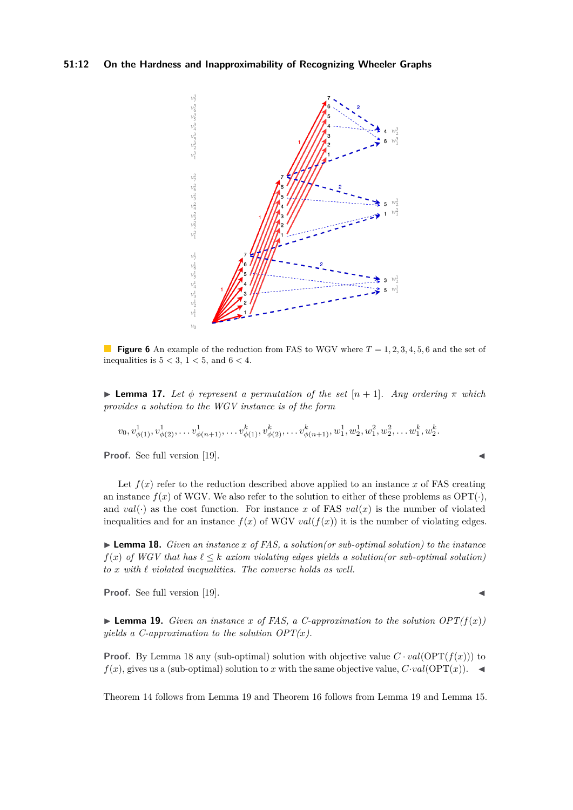<span id="page-11-0"></span>

**Figure 6** An example of the reduction from FAS to WGV where  $T = 1, 2, 3, 4, 5, 6$  and the set of inequalities is  $5 < 3$ ,  $1 < 5$ , and  $6 < 4$ .

**I Lemma 17.** Let  $\phi$  represent a permutation of the set  $[n+1]$ . Any ordering  $\pi$  which *provides a solution to the WGV instance is of the form*

$$
v_0, v_{\phi(1)}^1, v_{\phi(2)}^1, \ldots v_{\phi(n+1)}^1, \ldots v_{\phi(1)}^k, v_{\phi(2)}^k, \ldots v_{\phi(n+1)}^k, w_1^1, w_2^1, w_1^2, w_2^2, \ldots w_1^k, w_2^k.
$$

**Proof.** See full version [\[19\]](#page-14-11).

Let  $f(x)$  refer to the reduction described above applied to an instance x of FAS creating an instance  $f(x)$  of WGV. We also refer to the solution to either of these problems as  $OPT(\cdot)$ , and  $val(\cdot)$  as the cost function. For instance *x* of FAS  $val(x)$  is the number of violated inequalities and for an instance  $f(x)$  of WGV  $val(f(x))$  it is the number of violating edges.

<span id="page-11-1"></span>► **Lemma 18.** *Given an instance x* of *FAS*, *a solution*(*or sub-optimal solution*) to the *instance f*(*x*) *of WGV* that has  $\ell \leq k$  *axiom violating edges yields a solution*(*or sub-optimal solution*)  $to x$  *with*  $\ell$  *violated inequalities. The converse holds as well.* 

**Proof.** See full version [\[19\]](#page-14-11).

<span id="page-11-2"></span>**Example 19.** *Given an instance x* of FAS, a C-approximation to the solution  $OPT(f(x))$ *yields a C-approximation to the solution*  $OPT(x)$ *.* 

**Proof.** By Lemma [18](#page-11-1) any (sub-optimal) solution with objective value  $C \cdot val(OPT(f(x)))$  to  $f(x)$ , gives us a (sub-optimal) solution to *x* with the same objective value,  $C \cdot val(OPT(x))$ .

Theorem [14](#page-9-1) follows from Lemma [19](#page-11-2) and Theorem [16](#page-10-3) follows from Lemma [19](#page-11-2) and Lemma [15.](#page-10-0)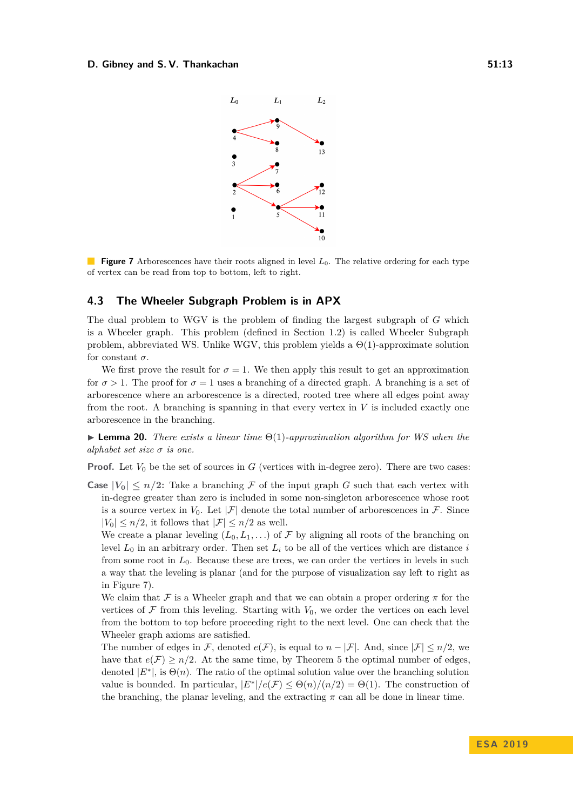#### <span id="page-12-0"></span>**D. Gibney and S. V. Thankachan 51:13 51:13**



**Figure 7** Arborescences have their roots aligned in level  $L_0$ . The relative ordering for each type of vertex can be read from top to bottom, left to right.

### **4.3 The Wheeler Subgraph Problem is in APX**

The dual problem to WGV is the problem of finding the largest subgraph of *G* which is a Wheeler graph. This problem (defined in Section [1.2\)](#page-2-3) is called Wheeler Subgraph problem, abbreviated WS. Unlike WGV, this problem yields a  $\Theta(1)$ -approximate solution for constant  $\sigma$ .

We first prove the result for  $\sigma = 1$ . We then apply this result to get an approximation for  $\sigma > 1$ . The proof for  $\sigma = 1$  uses a branching of a directed graph. A branching is a set of arborescence where an arborescence is a directed, rooted tree where all edges point away from the root. A branching is spanning in that every vertex in *V* is included exactly one arborescence in the branching.

<span id="page-12-1"></span>I **Lemma 20.** *There exists a linear time* Θ(1)*-approximation algorithm for WS when the alphabet set size σ is one.*

**Proof.** Let  $V_0$  be the set of sources in  $G$  (vertices with in-degree zero). There are two cases:

**Case**  $|V_0| \leq n/2$ : Take a branching F of the input graph G such that each vertex with in-degree greater than zero is included in some non-singleton arborescence whose root is a source vertex in  $V_0$ . Let  $|\mathcal{F}|$  denote the total number of arborescences in  $\mathcal{F}$ . Since  $|V_0| \leq n/2$ , it follows that  $|\mathcal{F}| \leq n/2$  as well.

We create a planar leveling  $(L_0, L_1, \ldots)$  of F by aligning all roots of the branching on level  $L_0$  in an arbitrary order. Then set  $L_i$  to be all of the vertices which are distance  $i$ from some root in *L*0. Because these are trees, we can order the vertices in levels in such a way that the leveling is planar (and for the purpose of visualization say left to right as in Figure [7\)](#page-12-0).

We claim that F is a Wheeler graph and that we can obtain a proper ordering  $\pi$  for the vertices of  $\mathcal F$  from this leveling. Starting with  $V_0$ , we order the vertices on each level from the bottom to top before proceeding right to the next level. One can check that the Wheeler graph axioms are satisfied.

The number of edges in F, denoted  $e(F)$ , is equal to  $n - |F|$ . And, since  $|F| \leq n/2$ , we have that  $e(\mathcal{F}) \geq n/2$ . At the same time, by Theorem [5](#page-5-3) the optimal number of edges, denoted  $|E^*|$ , is  $\Theta(n)$ . The ratio of the optimal solution value over the branching solution value is bounded. In particular,  $|E^*|/e(\mathcal{F}) \leq \Theta(n)/(n/2) = \Theta(1)$ . The construction of the branching, the planar leveling, and the extracting  $\pi$  can all be done in linear time.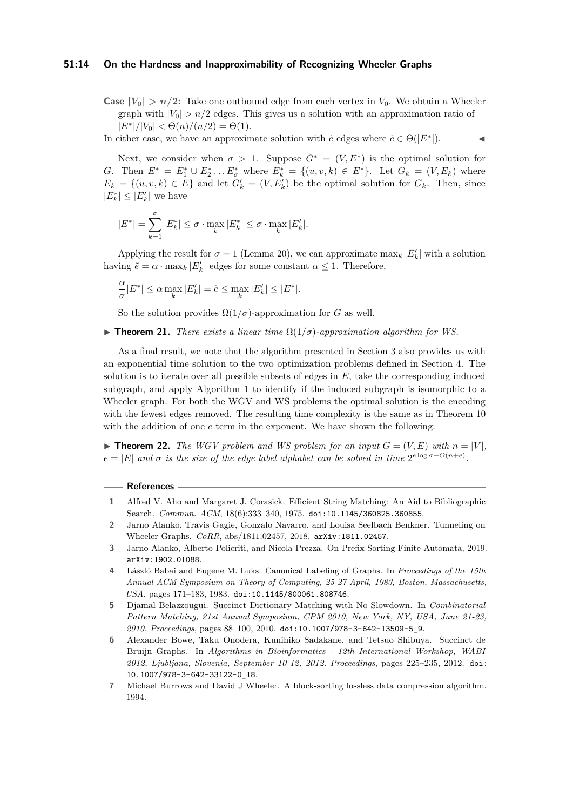#### **51:14 On the Hardness and Inapproximability of Recognizing Wheeler Graphs**

**Case**  $|V_0| > n/2$ : Take one outbound edge from each vertex in  $V_0$ . We obtain a Wheeler graph with  $|V_0| > n/2$  edges. This gives us a solution with an approximation ratio of  $|E^*|/|V_0| < \Theta(n)/(n/2) = \Theta(1).$ 

In either case, we have an approximate solution with  $\tilde{e}$  edges where  $\tilde{e} \in \Theta(|E^*|)$ .

Next, we consider when  $\sigma > 1$ . Suppose  $G^* = (V, E^*)$  is the optimal solution for *G*. Then  $E^* = E_1^* \cup E_2^* \dots E_{\sigma}^*$  where  $E_k^* = \{(u, v, k) \in E^*\}$ . Let  $G_k = (V, E_k)$  where  $E_k = \{(u, v, k) \in E\}$  and let  $G'_k = (V, E'_k)$  be the optimal solution for  $G_k$ . Then, since  $|E^*_k| \leq |E'_k|$  we have

$$
|E^*| = \sum_{k=1}^{\sigma} |E_k^*| \leq \sigma \cdot \max_k |E_k^*| \leq \sigma \cdot \max_k |E_k'|.
$$

Applying the result for  $\sigma = 1$  (Lemma [20\)](#page-12-1), we can approximate  $\max_k |E'_k|$  with a solution having  $\tilde{e} = \alpha \cdot \max_k |E'_k|$  edges for some constant  $\alpha \leq 1$ . Therefore,

$$
\frac{\alpha}{\sigma}|E^*| \le \alpha \max_k |E'_k| = \tilde{e} \le \max_k |E'_k| \le |E^*|.
$$

So the solution provides  $\Omega(1/\sigma)$ -approximation for *G* as well.

**Figure 121.** *There exists a linear time*  $\Omega(1/\sigma)$ *-approximation algorithm for WS.* 

As a final result, we note that the algorithm presented in Section [3](#page-7-0) also provides us with an exponential time solution to the two optimization problems defined in Section [4.](#page-9-0) The solution is to iterate over all possible subsets of edges in *E*, take the corresponding induced subgraph, and apply Algorithm [1](#page-8-1) to identify if the induced subgraph is isomorphic to a Wheeler graph. For both the WGV and WS problems the optimal solution is the encoding with the fewest edges removed. The resulting time complexity is the same as in Theorem [10](#page-8-0) with the addition of one  $e$  term in the exponent. We have shown the following:

 $\triangleright$  **Theorem 22.** *The WGV problem and WS problem for an input*  $G = (V, E)$  *with*  $n = |V|$ *,*  $e = |E|$  and  $\sigma$  *is the size of the edge label alphabet can be solved in time*  $2^{e \log \sigma + O(n+e)}$ .

#### **References**

- <span id="page-13-3"></span>**1** Alfred V. Aho and Margaret J. Corasick. Efficient String Matching: An Aid to Bibliographic Search. *Commun. ACM*, 18(6):333–340, 1975. [doi:10.1145/360825.360855](https://doi.org/10.1145/360825.360855).
- <span id="page-13-1"></span>**2** Jarno Alanko, Travis Gagie, Gonzalo Navarro, and Louisa Seelbach Benkner. Tunneling on Wheeler Graphs. *CoRR*, abs/1811.02457, 2018. [arXiv:1811.02457](http://arxiv.org/abs/1811.02457).
- <span id="page-13-5"></span>**3** Jarno Alanko, Alberto Policriti, and Nicola Prezza. On Prefix-Sorting Finite Automata, 2019. [arXiv:1902.01088](http://arxiv.org/abs/1902.01088).
- <span id="page-13-6"></span>**4** László Babai and Eugene M. Luks. Canonical Labeling of Graphs. In *Proceedings of the 15th Annual ACM Symposium on Theory of Computing, 25-27 April, 1983, Boston, Massachusetts, USA*, pages 171–183, 1983. [doi:10.1145/800061.808746](https://doi.org/10.1145/800061.808746).
- <span id="page-13-4"></span>**5** Djamal Belazzougui. Succinct Dictionary Matching with No Slowdown. In *Combinatorial Pattern Matching, 21st Annual Symposium, CPM 2010, New York, NY, USA, June 21-23, 2010. Proceedings*, pages 88–100, 2010. [doi:10.1007/978-3-642-13509-5\\_9](https://doi.org/10.1007/978-3-642-13509-5_9).
- <span id="page-13-2"></span>**6** Alexander Bowe, Taku Onodera, Kunihiko Sadakane, and Tetsuo Shibuya. Succinct de Bruijn Graphs. In *Algorithms in Bioinformatics - 12th International Workshop, WABI 2012, Ljubljana, Slovenia, September 10-12, 2012. Proceedings*, pages 225–235, 2012. [doi:](https://doi.org/10.1007/978-3-642-33122-0_18) [10.1007/978-3-642-33122-0\\_18](https://doi.org/10.1007/978-3-642-33122-0_18).
- <span id="page-13-0"></span>**7** Michael Burrows and David J Wheeler. A block-sorting lossless data compression algorithm, 1994.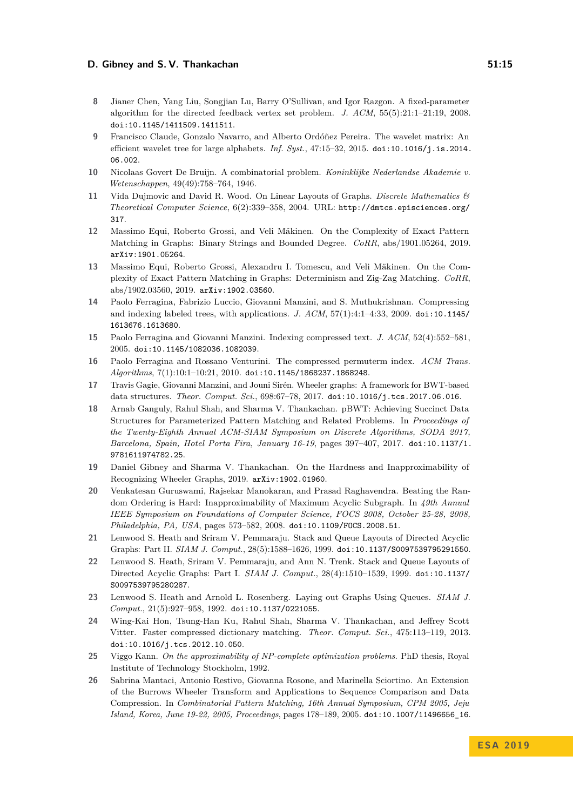#### **D. Gibney and S. V. Thankachan 51:15 51:15**

- <span id="page-14-16"></span>**8** Jianer Chen, Yang Liu, Songjian Lu, Barry O'Sullivan, and Igor Razgon. A fixed-parameter algorithm for the directed feedback vertex set problem. *J. ACM*, 55(5):21:1–21:19, 2008. [doi:10.1145/1411509.1411511](https://doi.org/10.1145/1411509.1411511).
- <span id="page-14-6"></span>**9** Francisco Claude, Gonzalo Navarro, and Alberto Ordóñez Pereira. The wavelet matrix: An efficient wavelet tree for large alphabets. *Inf. Syst.*, 47:15–32, 2015. [doi:10.1016/j.is.2014.](https://doi.org/10.1016/j.is.2014.06.002) [06.002](https://doi.org/10.1016/j.is.2014.06.002).
- <span id="page-14-5"></span>**10** Nicolaas Govert De Bruijn. A combinatorial problem. *Koninklijke Nederlandse Akademie v. Wetenschappen*, 49(49):758–764, 1946.
- <span id="page-14-15"></span>**11** Vida Dujmovic and David R. Wood. On Linear Layouts of Graphs. *Discrete Mathematics & Theoretical Computer Science*, 6(2):339–358, 2004. URL: [http://dmtcs.episciences.org/](http://dmtcs.episciences.org/317) [317](http://dmtcs.episciences.org/317).
- <span id="page-14-9"></span>**12** Massimo Equi, Roberto Grossi, and Veli Mäkinen. On the Complexity of Exact Pattern Matching in Graphs: Binary Strings and Bounded Degree. *CoRR*, abs/1901.05264, 2019. [arXiv:1901.05264](http://arxiv.org/abs/1901.05264).
- <span id="page-14-10"></span>**13** Massimo Equi, Roberto Grossi, Alexandru I. Tomescu, and Veli Mäkinen. On the Complexity of Exact Pattern Matching in Graphs: Determinism and Zig-Zag Matching. *CoRR*, abs/1902.03560, 2019. [arXiv:1902.03560](http://arxiv.org/abs/1902.03560).
- <span id="page-14-0"></span>**14** Paolo Ferragina, Fabrizio Luccio, Giovanni Manzini, and S. Muthukrishnan. Compressing and indexing labeled trees, with applications. *J. ACM*, 57(1):4:1–4:33, 2009. [doi:10.1145/](https://doi.org/10.1145/1613676.1613680) [1613676.1613680](https://doi.org/10.1145/1613676.1613680).
- <span id="page-14-8"></span>**15** Paolo Ferragina and Giovanni Manzini. Indexing compressed text. *J. ACM*, 52(4):552–581, 2005. [doi:10.1145/1082036.1082039](https://doi.org/10.1145/1082036.1082039).
- <span id="page-14-1"></span>**16** Paolo Ferragina and Rossano Venturini. The compressed permuterm index. *ACM Trans. Algorithms*, 7(1):10:1–10:21, 2010. [doi:10.1145/1868237.1868248](https://doi.org/10.1145/1868237.1868248).
- <span id="page-14-3"></span>**17** Travis Gagie, Giovanni Manzini, and Jouni Sirén. Wheeler graphs: A framework for BWT-based data structures. *Theor. Comput. Sci.*, 698:67–78, 2017. [doi:10.1016/j.tcs.2017.06.016](https://doi.org/10.1016/j.tcs.2017.06.016).
- <span id="page-14-4"></span>**18** Arnab Ganguly, Rahul Shah, and Sharma V. Thankachan. pBWT: Achieving Succinct Data Structures for Parameterized Pattern Matching and Related Problems. In *Proceedings of the Twenty-Eighth Annual ACM-SIAM Symposium on Discrete Algorithms, SODA 2017, Barcelona, Spain, Hotel Porta Fira, January 16-19*, pages 397–407, 2017. [doi:10.1137/1.](https://doi.org/10.1137/1.9781611974782.25) [9781611974782.25](https://doi.org/10.1137/1.9781611974782.25).
- <span id="page-14-11"></span>**19** Daniel Gibney and Sharma V. Thankachan. On the Hardness and Inapproximability of Recognizing Wheeler Graphs, 2019. [arXiv:1902.01960](http://arxiv.org/abs/1902.01960).
- <span id="page-14-18"></span>**20** Venkatesan Guruswami, Rajsekar Manokaran, and Prasad Raghavendra. Beating the Random Ordering is Hard: Inapproximability of Maximum Acyclic Subgraph. In *49th Annual IEEE Symposium on Foundations of Computer Science, FOCS 2008, October 25-28, 2008, Philadelphia, PA, USA*, pages 573–582, 2008. [doi:10.1109/FOCS.2008.51](https://doi.org/10.1109/FOCS.2008.51).
- <span id="page-14-13"></span>**21** Lenwood S. Heath and Sriram V. Pemmaraju. Stack and Queue Layouts of Directed Acyclic Graphs: Part II. *SIAM J. Comput.*, 28(5):1588–1626, 1999. [doi:10.1137/S0097539795291550](https://doi.org/10.1137/S0097539795291550).
- <span id="page-14-12"></span>**22** Lenwood S. Heath, Sriram V. Pemmaraju, and Ann N. Trenk. Stack and Queue Layouts of Directed Acyclic Graphs: Part I. *SIAM J. Comput.*, 28(4):1510–1539, 1999. [doi:10.1137/](https://doi.org/10.1137/S0097539795280287) [S0097539795280287](https://doi.org/10.1137/S0097539795280287).
- <span id="page-14-14"></span>**23** Lenwood S. Heath and Arnold L. Rosenberg. Laying out Graphs Using Queues. *SIAM J. Comput.*, 21(5):927–958, 1992. [doi:10.1137/0221055](https://doi.org/10.1137/0221055).
- <span id="page-14-7"></span>**24** Wing-Kai Hon, Tsung-Han Ku, Rahul Shah, Sharma V. Thankachan, and Jeffrey Scott Vitter. Faster compressed dictionary matching. *Theor. Comput. Sci.*, 475:113–119, 2013. [doi:10.1016/j.tcs.2012.10.050](https://doi.org/10.1016/j.tcs.2012.10.050).
- <span id="page-14-17"></span>**25** Viggo Kann. *On the approximability of NP-complete optimization problems*. PhD thesis, Royal Institute of Technology Stockholm, 1992.
- <span id="page-14-2"></span>**26** Sabrina Mantaci, Antonio Restivo, Giovanna Rosone, and Marinella Sciortino. An Extension of the Burrows Wheeler Transform and Applications to Sequence Comparison and Data Compression. In *Combinatorial Pattern Matching, 16th Annual Symposium, CPM 2005, Jeju Island, Korea, June 19-22, 2005, Proceedings*, pages 178–189, 2005. [doi:10.1007/11496656\\_16](https://doi.org/10.1007/11496656_16).